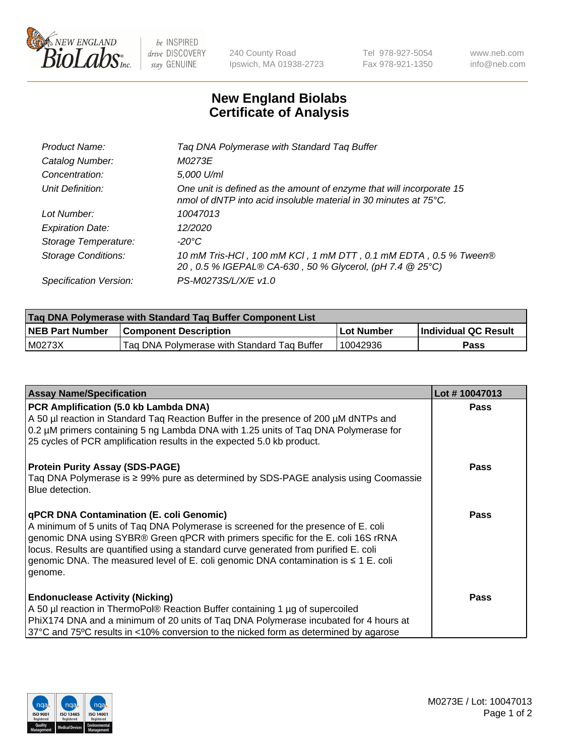

 $be$  INSPIRED drive DISCOVERY stay GENUINE

240 County Road Ipswich, MA 01938-2723 Tel 978-927-5054 Fax 978-921-1350 www.neb.com info@neb.com

## **New England Biolabs Certificate of Analysis**

| Tag DNA Polymerase with Standard Tag Buffer                                                                                              |
|------------------------------------------------------------------------------------------------------------------------------------------|
| M0273E                                                                                                                                   |
| 5,000 U/ml                                                                                                                               |
| One unit is defined as the amount of enzyme that will incorporate 15<br>nmol of dNTP into acid insoluble material in 30 minutes at 75°C. |
| 10047013                                                                                                                                 |
| 12/2020                                                                                                                                  |
| $-20^{\circ}$ C                                                                                                                          |
| 10 mM Tris-HCl, 100 mM KCl, 1 mM DTT, 0.1 mM EDTA, 0.5 % Tween®<br>20, 0.5 % IGEPAL® CA-630, 50 % Glycerol, (pH 7.4 @ 25°C)              |
| PS-M0273S/L/X/E v1.0                                                                                                                     |
|                                                                                                                                          |

| Tag DNA Polymerase with Standard Tag Buffer Component List |                                             |            |                      |  |  |
|------------------------------------------------------------|---------------------------------------------|------------|----------------------|--|--|
| <b>NEB Part Number</b>                                     | <b>Component Description</b>                | Lot Number | Individual QC Result |  |  |
| M0273X                                                     | Tag DNA Polymerase with Standard Tag Buffer | 10042936   | Pass                 |  |  |

| <b>Assay Name/Specification</b>                                                                                                                                                                                                                                                                                                                                                                                    | Lot #10047013 |
|--------------------------------------------------------------------------------------------------------------------------------------------------------------------------------------------------------------------------------------------------------------------------------------------------------------------------------------------------------------------------------------------------------------------|---------------|
| PCR Amplification (5.0 kb Lambda DNA)<br>A 50 µl reaction in Standard Tag Reaction Buffer in the presence of 200 µM dNTPs and<br>0.2 µM primers containing 5 ng Lambda DNA with 1.25 units of Tag DNA Polymerase for<br>25 cycles of PCR amplification results in the expected 5.0 kb product.                                                                                                                     | <b>Pass</b>   |
| <b>Protein Purity Assay (SDS-PAGE)</b><br>Taq DNA Polymerase is ≥ 99% pure as determined by SDS-PAGE analysis using Coomassie<br>Blue detection.                                                                                                                                                                                                                                                                   | Pass          |
| qPCR DNA Contamination (E. coli Genomic)<br>A minimum of 5 units of Taq DNA Polymerase is screened for the presence of E. coli<br>genomic DNA using SYBR® Green qPCR with primers specific for the E. coli 16S rRNA<br>locus. Results are quantified using a standard curve generated from purified E. coli<br>genomic DNA. The measured level of E. coli genomic DNA contamination is $\leq 1$ E. coli<br>genome. | Pass          |
| <b>Endonuclease Activity (Nicking)</b><br>A 50 µl reaction in ThermoPol® Reaction Buffer containing 1 µg of supercoiled<br>PhiX174 DNA and a minimum of 20 units of Taq DNA Polymerase incubated for 4 hours at<br>37°C and 75°C results in <10% conversion to the nicked form as determined by agarose                                                                                                            | <b>Pass</b>   |